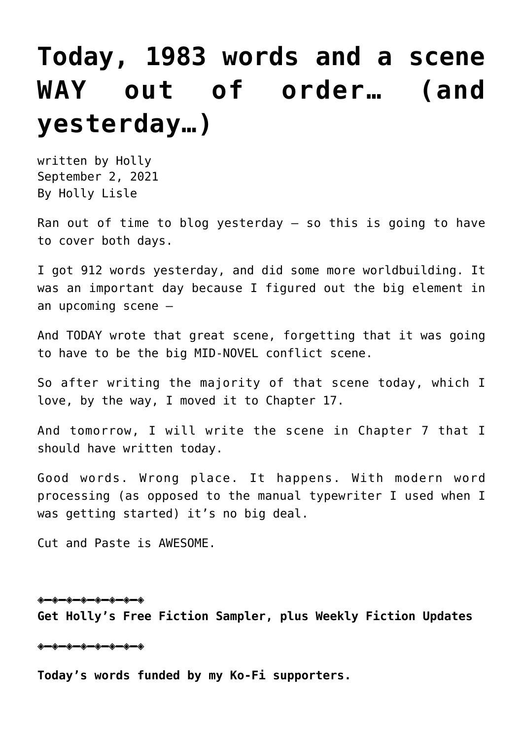## **[Today, 1983 words and a scene](https://hollylisle.com/today-1983-words-and-a-scene-way-out-of-order-and-yesterday/) [WAY out of order… \(and](https://hollylisle.com/today-1983-words-and-a-scene-way-out-of-order-and-yesterday/) [yesterday…\)](https://hollylisle.com/today-1983-words-and-a-scene-way-out-of-order-and-yesterday/)**

written by Holly September 2, 2021 [By Holly Lisle](https://hollylisle.com)

Ran out of time to blog yesterday  $-$  so this is going to have to cover both days.

I got 912 words yesterday, and did some more worldbuilding. It was an important day because I figured out the big element in an upcoming scene —

And TODAY wrote that great scene, forgetting that it was going to have to be the big MID-NOVEL conflict scene.

So after writing the majority of that scene today, which I love, by the way, I moved it to Chapter 17.

And tomorrow, I will write the scene in Chapter 7 that I should have written today.

Good words. Wrong place. It happens. With modern word processing (as opposed to the manual typewriter I used when I was getting started) it's no big deal.

Cut and Paste is AWESOME.

◈━◈━◈━◈━◈━◈━◈━◈ **Get Holly's Free Fiction Sampler, plus Weekly Fiction Updates**

◈━◈━◈━◈━◈━◈━◈━◈

**Today's words funded by my Ko-Fi supporters.**